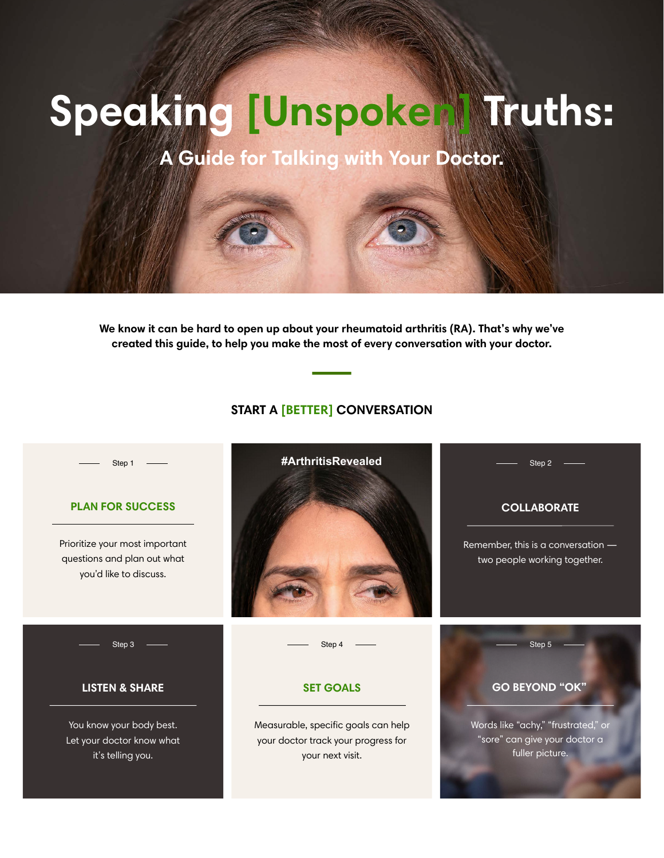Prioritize your most important questions and plan out what you'd like to discuss.



## **PLAN FOR SUCCESS**

Step 1

Words like "achy," "frustrated," or "sore" can give your doctor a fuller picture.

# **GO BEYOND "OK"**

You know your body best. Let your doctor know what it's telling you.

# Step 4 Step 5

Measurable, specific goals can help your doctor track your progress for your next visit.

# **SET GOALS**

Step 3

# **LISTEN & SHARE**

Remember, this is a conversation two people working together.

# **COLLABORATE**

Step 2

# **START A [BETTER] CONVERSATION**

**#ArthritisRevealed**

**We know it can be hard to open up about your rheumatoid arthritis (RA). That's why we've created this guide, to help you make the most of every conversation with your doctor.**